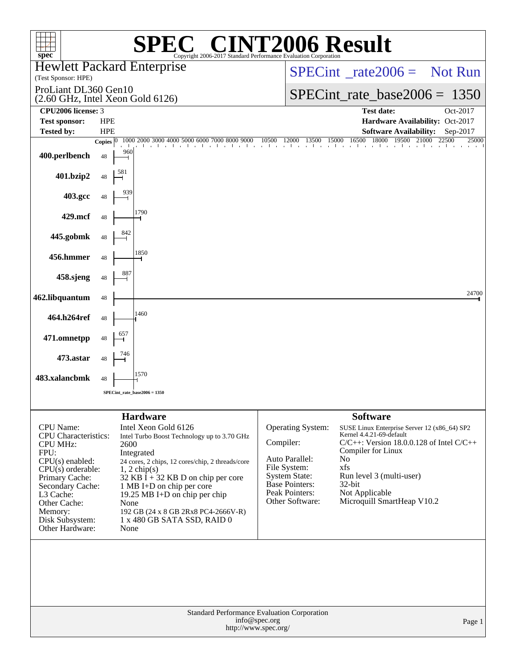| $\mathbb{C}^{\circledast}$ CINT2006 Result<br>$spec^*$<br>Copyright 2006-2017 Standard Performance Ev                                                                                                                                      |                            |                                                                                                                                                                                                                                                                                                                                     |                                                                 |                                                                                                                                    |                                                                                                                                                                                                                                                                |                                     |  |  |  |
|--------------------------------------------------------------------------------------------------------------------------------------------------------------------------------------------------------------------------------------------|----------------------------|-------------------------------------------------------------------------------------------------------------------------------------------------------------------------------------------------------------------------------------------------------------------------------------------------------------------------------------|-----------------------------------------------------------------|------------------------------------------------------------------------------------------------------------------------------------|----------------------------------------------------------------------------------------------------------------------------------------------------------------------------------------------------------------------------------------------------------------|-------------------------------------|--|--|--|
|                                                                                                                                                                                                                                            |                            | <b>Hewlett Packard Enterprise</b>                                                                                                                                                                                                                                                                                                   |                                                                 | $SPECint^*_{\text{}} \text{rate2006} = \text{Not Run}$                                                                             |                                                                                                                                                                                                                                                                |                                     |  |  |  |
| (Test Sponsor: HPE)<br>ProLiant DL360 Gen10                                                                                                                                                                                                |                            |                                                                                                                                                                                                                                                                                                                                     |                                                                 |                                                                                                                                    |                                                                                                                                                                                                                                                                |                                     |  |  |  |
| $(2.60 \text{ GHz}, \text{Intel Xeon Gold } 6126)$<br>CPU2006 license: 3                                                                                                                                                                   |                            |                                                                                                                                                                                                                                                                                                                                     | $SPECint_rate_base2006 = 1350$<br><b>Test date:</b><br>Oct-2017 |                                                                                                                                    |                                                                                                                                                                                                                                                                |                                     |  |  |  |
| <b>Test sponsor:</b>                                                                                                                                                                                                                       | <b>HPE</b>                 |                                                                                                                                                                                                                                                                                                                                     |                                                                 |                                                                                                                                    | Hardware Availability: Oct-2017                                                                                                                                                                                                                                |                                     |  |  |  |
| <b>Tested by:</b>                                                                                                                                                                                                                          | <b>HPE</b><br>Copies $ 0 $ | 1000 2000 3000 4000 5000 6000 7000 8000 9000                                                                                                                                                                                                                                                                                        | 10500                                                           | 12000<br>13500<br>15000                                                                                                            | <b>Software Availability:</b><br>16500<br>18000<br>19500                                                                                                                                                                                                       | Sep-2017<br>21000<br>22500<br>25000 |  |  |  |
| 400.perlbench                                                                                                                                                                                                                              | 960<br>48                  |                                                                                                                                                                                                                                                                                                                                     |                                                                 |                                                                                                                                    |                                                                                                                                                                                                                                                                |                                     |  |  |  |
| 401.bzip2                                                                                                                                                                                                                                  | 48                         |                                                                                                                                                                                                                                                                                                                                     |                                                                 |                                                                                                                                    |                                                                                                                                                                                                                                                                |                                     |  |  |  |
| 403.gcc                                                                                                                                                                                                                                    | 48                         |                                                                                                                                                                                                                                                                                                                                     |                                                                 |                                                                                                                                    |                                                                                                                                                                                                                                                                |                                     |  |  |  |
| 429.mcf                                                                                                                                                                                                                                    | 48                         | 1790                                                                                                                                                                                                                                                                                                                                |                                                                 |                                                                                                                                    |                                                                                                                                                                                                                                                                |                                     |  |  |  |
| 445.gobmk                                                                                                                                                                                                                                  | 48                         |                                                                                                                                                                                                                                                                                                                                     |                                                                 |                                                                                                                                    |                                                                                                                                                                                                                                                                |                                     |  |  |  |
| 456.hmmer                                                                                                                                                                                                                                  | 48                         | 1850                                                                                                                                                                                                                                                                                                                                |                                                                 |                                                                                                                                    |                                                                                                                                                                                                                                                                |                                     |  |  |  |
| 458.sjeng                                                                                                                                                                                                                                  | 887<br>48                  |                                                                                                                                                                                                                                                                                                                                     |                                                                 |                                                                                                                                    |                                                                                                                                                                                                                                                                |                                     |  |  |  |
| 462.libquantum                                                                                                                                                                                                                             | 48                         |                                                                                                                                                                                                                                                                                                                                     |                                                                 |                                                                                                                                    |                                                                                                                                                                                                                                                                | 24700                               |  |  |  |
| 464.h264ref                                                                                                                                                                                                                                | 48                         | 1460                                                                                                                                                                                                                                                                                                                                |                                                                 |                                                                                                                                    |                                                                                                                                                                                                                                                                |                                     |  |  |  |
| 471.omnetpp                                                                                                                                                                                                                                | 657<br>48                  |                                                                                                                                                                                                                                                                                                                                     |                                                                 |                                                                                                                                    |                                                                                                                                                                                                                                                                |                                     |  |  |  |
| 473.astar                                                                                                                                                                                                                                  | 48                         |                                                                                                                                                                                                                                                                                                                                     |                                                                 |                                                                                                                                    |                                                                                                                                                                                                                                                                |                                     |  |  |  |
| 483.xalancbmk                                                                                                                                                                                                                              | 48                         | 1570                                                                                                                                                                                                                                                                                                                                |                                                                 |                                                                                                                                    |                                                                                                                                                                                                                                                                |                                     |  |  |  |
|                                                                                                                                                                                                                                            |                            | $SPECint_rate_base2006 = 1350$                                                                                                                                                                                                                                                                                                      |                                                                 |                                                                                                                                    |                                                                                                                                                                                                                                                                |                                     |  |  |  |
|                                                                                                                                                                                                                                            |                            | <b>Hardware</b>                                                                                                                                                                                                                                                                                                                     |                                                                 |                                                                                                                                    | <b>Software</b>                                                                                                                                                                                                                                                |                                     |  |  |  |
| <b>CPU</b> Name:<br><b>CPU</b> Characteristics:<br><b>CPU MHz:</b><br>FPU:<br>$CPU(s)$ enabled:<br>$CPU(s)$ orderable:<br>Primary Cache:<br>Secondary Cache:<br>L3 Cache:<br>Other Cache:<br>Memory:<br>Disk Subsystem:<br>Other Hardware: | 2600<br>None<br>None       | Intel Xeon Gold 6126<br>Intel Turbo Boost Technology up to 3.70 GHz<br>Integrated<br>24 cores, 2 chips, 12 cores/chip, 2 threads/core<br>$1, 2$ chip(s)<br>$32$ KB I + 32 KB D on chip per core<br>1 MB I+D on chip per core<br>19.25 MB I+D on chip per chip<br>192 GB (24 x 8 GB 2Rx8 PC4-2666V-R)<br>1 x 480 GB SATA SSD, RAID 0 | Compiler:                                                       | Operating System:<br>Auto Parallel:<br>File System:<br><b>System State:</b><br>Base Pointers:<br>Peak Pointers:<br>Other Software: | SUSE Linux Enterprise Server 12 (x86_64) SP2<br>Kernel 4.4.21-69-default<br>$C/C++$ : Version 18.0.0.128 of Intel $C/C++$<br>Compiler for Linux<br>N <sub>o</sub><br>xfs<br>Run level 3 (multi-user)<br>32-bit<br>Not Applicable<br>Microquill SmartHeap V10.2 |                                     |  |  |  |
|                                                                                                                                                                                                                                            |                            | Standard Performance Evaluation Corporation<br>http://www.spec.org/                                                                                                                                                                                                                                                                 | info@spec.org                                                   |                                                                                                                                    |                                                                                                                                                                                                                                                                | Page 1                              |  |  |  |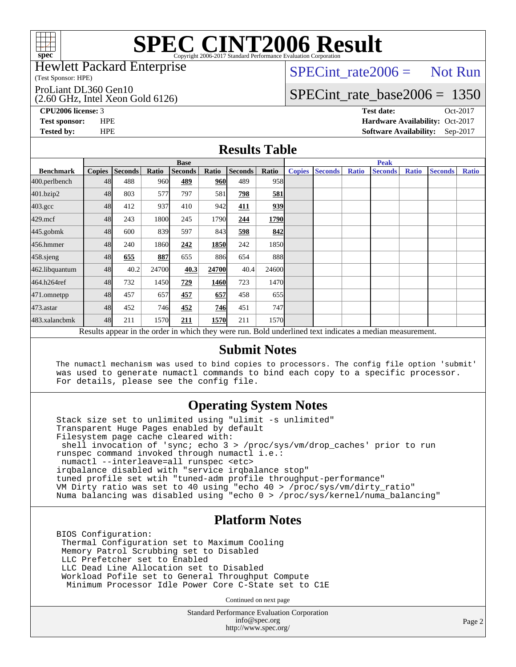

#### Hewlett Packard Enterprise

(Test Sponsor: HPE)

ProLiant DL360 Gen10

(2.60 GHz, Intel Xeon Gold 6126)

 $SPECTnt_rate2006 = Not Run$ 

# [SPECint\\_rate\\_base2006 =](http://www.spec.org/auto/cpu2006/Docs/result-fields.html#SPECintratebase2006) 1350

**[CPU2006 license:](http://www.spec.org/auto/cpu2006/Docs/result-fields.html#CPU2006license)** 3 **[Test date:](http://www.spec.org/auto/cpu2006/Docs/result-fields.html#Testdate)** Oct-2017 **[Test sponsor:](http://www.spec.org/auto/cpu2006/Docs/result-fields.html#Testsponsor)** HPE **[Hardware Availability:](http://www.spec.org/auto/cpu2006/Docs/result-fields.html#HardwareAvailability)** Oct-2017 **[Tested by:](http://www.spec.org/auto/cpu2006/Docs/result-fields.html#Testedby)** HPE **[Software Availability:](http://www.spec.org/auto/cpu2006/Docs/result-fields.html#SoftwareAvailability)** Sep-2017

### **[Results Table](http://www.spec.org/auto/cpu2006/Docs/result-fields.html#ResultsTable)**

|                                                                                                          | <b>Base</b>   |                |       |                |             |                | <b>Peak</b> |               |                |              |                |              |                |              |
|----------------------------------------------------------------------------------------------------------|---------------|----------------|-------|----------------|-------------|----------------|-------------|---------------|----------------|--------------|----------------|--------------|----------------|--------------|
| <b>Benchmark</b>                                                                                         | <b>Copies</b> | <b>Seconds</b> | Ratio | <b>Seconds</b> | Ratio       | <b>Seconds</b> | Ratio       | <b>Copies</b> | <b>Seconds</b> | <b>Ratio</b> | <b>Seconds</b> | <b>Ratio</b> | <b>Seconds</b> | <b>Ratio</b> |
| 400.perlbench                                                                                            | 48            | 488            | 960   | 489            | 960         | 489            | 958         |               |                |              |                |              |                |              |
| 401.bzip2                                                                                                | 48            | 803            | 577   | 797            | 581         | 798            | 581         |               |                |              |                |              |                |              |
| $403.\mathrm{gcc}$                                                                                       | 48            | 412            | 937   | 410            | 942         | 411            | 939         |               |                |              |                |              |                |              |
| $429$ .mcf                                                                                               | 48            | 243            | 1800  | 245            | 1790        | 244            | 1790        |               |                |              |                |              |                |              |
| $445$ .gobm $k$                                                                                          | 48            | 600            | 839   | 597            | 843         | 598            | 842         |               |                |              |                |              |                |              |
| 456.hmmer                                                                                                | 48            | 240            | 1860  | 242            | <b>1850</b> | 242            | 1850l       |               |                |              |                |              |                |              |
| $458$ .sjeng                                                                                             | 48            | 655            | 887   | 655            | 886         | 654            | 888l        |               |                |              |                |              |                |              |
| 462.libquantum                                                                                           | 48            | 40.2           | 24700 | 40.3           | 24700       | 40.4           | 24600       |               |                |              |                |              |                |              |
| 464.h264ref                                                                                              | 48            | 732            | 1450  | 729            | 1460        | 723            | 1470        |               |                |              |                |              |                |              |
| 471.omnetpp                                                                                              | 48            | 457            | 657   | 457            | 657         | 458            | 655         |               |                |              |                |              |                |              |
| $473$ . astar                                                                                            | 48            | 452            | 746   | 452            | 746         | 451            | 747         |               |                |              |                |              |                |              |
| 483.xalancbmk                                                                                            | 48            | 211            | 1570  | 211            | 1570        | 211            | 1570        |               |                |              |                |              |                |              |
| Results appear in the order in which they were run. Bold underlined text indicates a median measurement. |               |                |       |                |             |                |             |               |                |              |                |              |                |              |

#### **[Submit Notes](http://www.spec.org/auto/cpu2006/Docs/result-fields.html#SubmitNotes)**

 The numactl mechanism was used to bind copies to processors. The config file option 'submit' was used to generate numactl commands to bind each copy to a specific processor. For details, please see the config file.

### **[Operating System Notes](http://www.spec.org/auto/cpu2006/Docs/result-fields.html#OperatingSystemNotes)**

 Stack size set to unlimited using "ulimit -s unlimited" Transparent Huge Pages enabled by default Filesystem page cache cleared with: shell invocation of 'sync; echo 3 > /proc/sys/vm/drop\_caches' prior to run runspec command invoked through numactl i.e.: numactl --interleave=all runspec <etc> irqbalance disabled with "service irqbalance stop" tuned profile set wtih "tuned-adm profile throughput-performance" VM Dirty ratio was set to 40 using "echo 40 > /proc/sys/vm/dirty\_ratio" Numa balancing was disabled using "echo 0 > /proc/sys/kernel/numa\_balancing"

### **[Platform Notes](http://www.spec.org/auto/cpu2006/Docs/result-fields.html#PlatformNotes)**

 BIOS Configuration: Thermal Configuration set to Maximum Cooling Memory Patrol Scrubbing set to Disabled LLC Prefetcher set to Enabled LLC Dead Line Allocation set to Disabled Workload Pofile set to General Throughput Compute Minimum Processor Idle Power Core C-State set to C1E

Continued on next page

Standard Performance Evaluation Corporation [info@spec.org](mailto:info@spec.org) <http://www.spec.org/>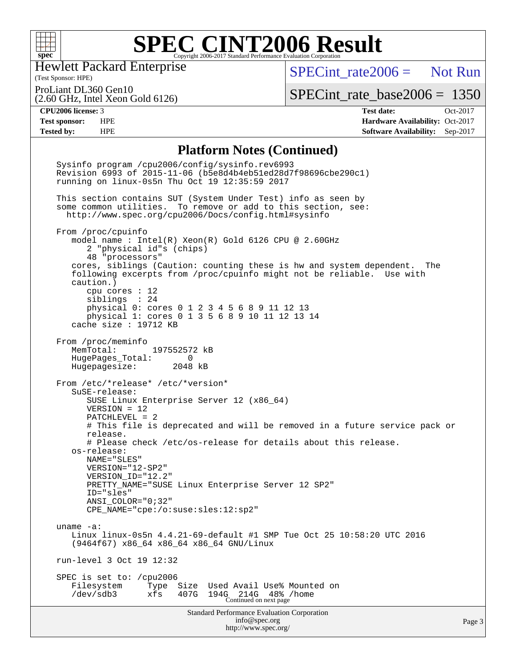

Hewlett Packard Enterprise

 $SPECTnt_rate2006 = Not Run$ 

(Test Sponsor: HPE) ProLiant DL360 Gen10

(2.60 GHz, Intel Xeon Gold 6126)

[SPECint\\_rate\\_base2006 =](http://www.spec.org/auto/cpu2006/Docs/result-fields.html#SPECintratebase2006) 1350

**[CPU2006 license:](http://www.spec.org/auto/cpu2006/Docs/result-fields.html#CPU2006license)** 3 **[Test date:](http://www.spec.org/auto/cpu2006/Docs/result-fields.html#Testdate)** Oct-2017 **[Test sponsor:](http://www.spec.org/auto/cpu2006/Docs/result-fields.html#Testsponsor)** HPE **[Hardware Availability:](http://www.spec.org/auto/cpu2006/Docs/result-fields.html#HardwareAvailability)** Oct-2017 **[Tested by:](http://www.spec.org/auto/cpu2006/Docs/result-fields.html#Testedby)** HPE **[Software Availability:](http://www.spec.org/auto/cpu2006/Docs/result-fields.html#SoftwareAvailability)** Sep-2017

#### **[Platform Notes \(Continued\)](http://www.spec.org/auto/cpu2006/Docs/result-fields.html#PlatformNotes)**

Standard Performance Evaluation Corporation [info@spec.org](mailto:info@spec.org) <http://www.spec.org/> Page 3 Sysinfo program /cpu2006/config/sysinfo.rev6993 Revision 6993 of 2015-11-06 (b5e8d4b4eb51ed28d7f98696cbe290c1) running on linux-0s5n Thu Oct 19 12:35:59 2017 This section contains SUT (System Under Test) info as seen by some common utilities. To remove or add to this section, see: <http://www.spec.org/cpu2006/Docs/config.html#sysinfo> From /proc/cpuinfo model name : Intel(R) Xeon(R) Gold 6126 CPU @ 2.60GHz 2 "physical id"s (chips) 48 "processors" cores, siblings (Caution: counting these is hw and system dependent. The following excerpts from /proc/cpuinfo might not be reliable. Use with caution.) cpu cores : 12 siblings : 24 physical 0: cores 0 1 2 3 4 5 6 8 9 11 12 13 physical 1: cores 0 1 3 5 6 8 9 10 11 12 13 14 cache size : 19712 KB From /proc/meminfo MemTotal: 197552572 kB HugePages\_Total: 0 Hugepagesize: 2048 kB From /etc/\*release\* /etc/\*version\* SuSE-release: SUSE Linux Enterprise Server 12 (x86\_64) VERSION = 12 PATCHLEVEL = 2 # This file is deprecated and will be removed in a future service pack or release. # Please check /etc/os-release for details about this release. os-release: NAME="SLES" VERSION="12-SP2" VERSION\_ID="12.2" PRETTY\_NAME="SUSE Linux Enterprise Server 12 SP2" ID="sles" ANSI\_COLOR="0;32" CPE\_NAME="cpe:/o:suse:sles:12:sp2" uname -a: Linux linux-0s5n 4.4.21-69-default #1 SMP Tue Oct 25 10:58:20 UTC 2016 (9464f67) x86\_64 x86\_64 x86\_64 GNU/Linux run-level 3 Oct 19 12:32 SPEC is set to: /cpu2006 Filesystem Type Size Used Avail Use% Mounted on /dev/sdb3 xfs 407G 194G 214G 48% /home Continued on next page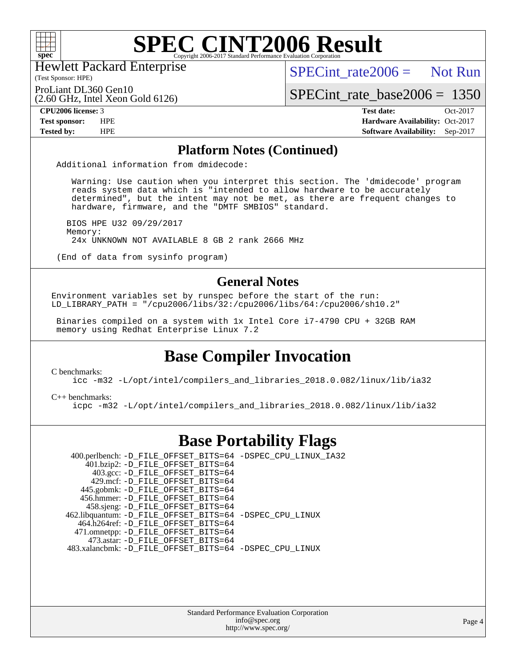

Hewlett Packard Enterprise

(Test Sponsor: HPE)

 $SPECint rate2006 =$  Not Run

ProLiant DL360 Gen10

(2.60 GHz, Intel Xeon Gold 6126)

[SPECint\\_rate\\_base2006 =](http://www.spec.org/auto/cpu2006/Docs/result-fields.html#SPECintratebase2006) 1350

**[CPU2006 license:](http://www.spec.org/auto/cpu2006/Docs/result-fields.html#CPU2006license)** 3 **[Test date:](http://www.spec.org/auto/cpu2006/Docs/result-fields.html#Testdate)** Oct-2017 **[Test sponsor:](http://www.spec.org/auto/cpu2006/Docs/result-fields.html#Testsponsor)** HPE **[Hardware Availability:](http://www.spec.org/auto/cpu2006/Docs/result-fields.html#HardwareAvailability)** Oct-2017 **[Tested by:](http://www.spec.org/auto/cpu2006/Docs/result-fields.html#Testedby)** HPE **[Software Availability:](http://www.spec.org/auto/cpu2006/Docs/result-fields.html#SoftwareAvailability)** Sep-2017

### **[Platform Notes \(Continued\)](http://www.spec.org/auto/cpu2006/Docs/result-fields.html#PlatformNotes)**

Additional information from dmidecode:

 Warning: Use caution when you interpret this section. The 'dmidecode' program reads system data which is "intended to allow hardware to be accurately determined", but the intent may not be met, as there are frequent changes to hardware, firmware, and the "DMTF SMBIOS" standard.

 BIOS HPE U32 09/29/2017 Memory: 24x UNKNOWN NOT AVAILABLE 8 GB 2 rank 2666 MHz

(End of data from sysinfo program)

### **[General Notes](http://www.spec.org/auto/cpu2006/Docs/result-fields.html#GeneralNotes)**

Environment variables set by runspec before the start of the run: LD LIBRARY PATH = "/cpu2006/libs/32:/cpu2006/libs/64:/cpu2006/sh10.2"

 Binaries compiled on a system with 1x Intel Core i7-4790 CPU + 32GB RAM memory using Redhat Enterprise Linux 7.2

## **[Base Compiler Invocation](http://www.spec.org/auto/cpu2006/Docs/result-fields.html#BaseCompilerInvocation)**

[C benchmarks](http://www.spec.org/auto/cpu2006/Docs/result-fields.html#Cbenchmarks):

[icc -m32 -L/opt/intel/compilers\\_and\\_libraries\\_2018.0.082/linux/lib/ia32](http://www.spec.org/cpu2006/results/res2017q4/cpu2006-20171031-50502.flags.html#user_CCbase_intel_icc_355c401af4d5dc87e09103a6bbcae1c6)

[C++ benchmarks:](http://www.spec.org/auto/cpu2006/Docs/result-fields.html#CXXbenchmarks)

[icpc -m32 -L/opt/intel/compilers\\_and\\_libraries\\_2018.0.082/linux/lib/ia32](http://www.spec.org/cpu2006/results/res2017q4/cpu2006-20171031-50502.flags.html#user_CXXbase_intel_icpc_b34a6f497613b30bc6bf10051974f22f)

## **[Base Portability Flags](http://www.spec.org/auto/cpu2006/Docs/result-fields.html#BasePortabilityFlags)**

 400.perlbench: [-D\\_FILE\\_OFFSET\\_BITS=64](http://www.spec.org/cpu2006/results/res2017q4/cpu2006-20171031-50502.flags.html#user_basePORTABILITY400_perlbench_file_offset_bits_64_438cf9856305ebd76870a2c6dc2689ab) [-DSPEC\\_CPU\\_LINUX\\_IA32](http://www.spec.org/cpu2006/results/res2017q4/cpu2006-20171031-50502.flags.html#b400.perlbench_baseCPORTABILITY_DSPEC_CPU_LINUX_IA32) 401.bzip2: [-D\\_FILE\\_OFFSET\\_BITS=64](http://www.spec.org/cpu2006/results/res2017q4/cpu2006-20171031-50502.flags.html#user_basePORTABILITY401_bzip2_file_offset_bits_64_438cf9856305ebd76870a2c6dc2689ab) 403.gcc: [-D\\_FILE\\_OFFSET\\_BITS=64](http://www.spec.org/cpu2006/results/res2017q4/cpu2006-20171031-50502.flags.html#user_basePORTABILITY403_gcc_file_offset_bits_64_438cf9856305ebd76870a2c6dc2689ab) 429.mcf: [-D\\_FILE\\_OFFSET\\_BITS=64](http://www.spec.org/cpu2006/results/res2017q4/cpu2006-20171031-50502.flags.html#user_basePORTABILITY429_mcf_file_offset_bits_64_438cf9856305ebd76870a2c6dc2689ab) 445.gobmk: [-D\\_FILE\\_OFFSET\\_BITS=64](http://www.spec.org/cpu2006/results/res2017q4/cpu2006-20171031-50502.flags.html#user_basePORTABILITY445_gobmk_file_offset_bits_64_438cf9856305ebd76870a2c6dc2689ab) 456.hmmer: [-D\\_FILE\\_OFFSET\\_BITS=64](http://www.spec.org/cpu2006/results/res2017q4/cpu2006-20171031-50502.flags.html#user_basePORTABILITY456_hmmer_file_offset_bits_64_438cf9856305ebd76870a2c6dc2689ab) 458.sjeng: [-D\\_FILE\\_OFFSET\\_BITS=64](http://www.spec.org/cpu2006/results/res2017q4/cpu2006-20171031-50502.flags.html#user_basePORTABILITY458_sjeng_file_offset_bits_64_438cf9856305ebd76870a2c6dc2689ab) 462.libquantum: [-D\\_FILE\\_OFFSET\\_BITS=64](http://www.spec.org/cpu2006/results/res2017q4/cpu2006-20171031-50502.flags.html#user_basePORTABILITY462_libquantum_file_offset_bits_64_438cf9856305ebd76870a2c6dc2689ab) [-DSPEC\\_CPU\\_LINUX](http://www.spec.org/cpu2006/results/res2017q4/cpu2006-20171031-50502.flags.html#b462.libquantum_baseCPORTABILITY_DSPEC_CPU_LINUX) 464.h264ref: [-D\\_FILE\\_OFFSET\\_BITS=64](http://www.spec.org/cpu2006/results/res2017q4/cpu2006-20171031-50502.flags.html#user_basePORTABILITY464_h264ref_file_offset_bits_64_438cf9856305ebd76870a2c6dc2689ab) 471.omnetpp: [-D\\_FILE\\_OFFSET\\_BITS=64](http://www.spec.org/cpu2006/results/res2017q4/cpu2006-20171031-50502.flags.html#user_basePORTABILITY471_omnetpp_file_offset_bits_64_438cf9856305ebd76870a2c6dc2689ab) 473.astar: [-D\\_FILE\\_OFFSET\\_BITS=64](http://www.spec.org/cpu2006/results/res2017q4/cpu2006-20171031-50502.flags.html#user_basePORTABILITY473_astar_file_offset_bits_64_438cf9856305ebd76870a2c6dc2689ab) 483.xalancbmk: [-D\\_FILE\\_OFFSET\\_BITS=64](http://www.spec.org/cpu2006/results/res2017q4/cpu2006-20171031-50502.flags.html#user_basePORTABILITY483_xalancbmk_file_offset_bits_64_438cf9856305ebd76870a2c6dc2689ab) [-DSPEC\\_CPU\\_LINUX](http://www.spec.org/cpu2006/results/res2017q4/cpu2006-20171031-50502.flags.html#b483.xalancbmk_baseCXXPORTABILITY_DSPEC_CPU_LINUX)